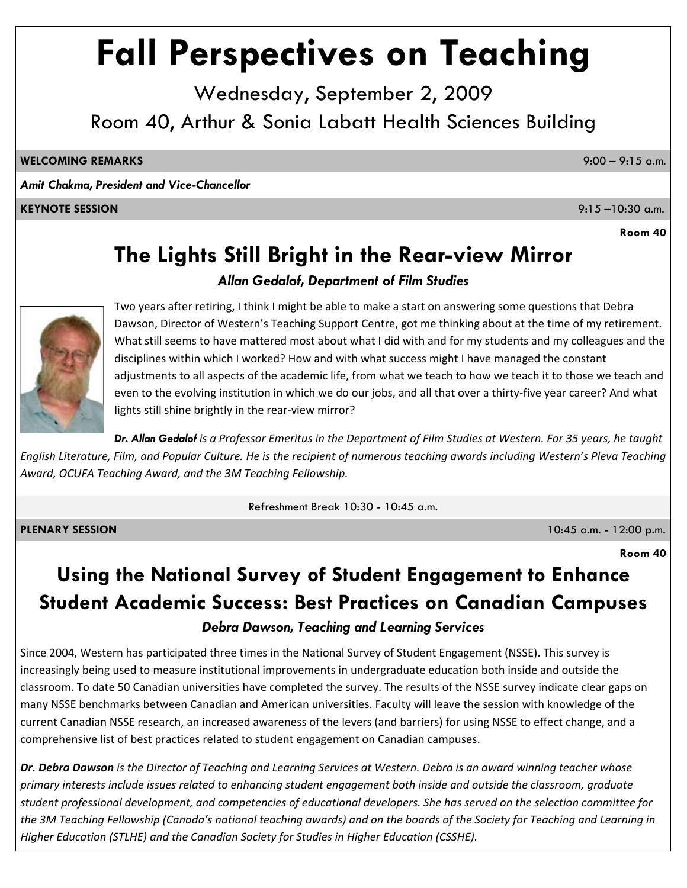# **Fall Perspectives on Teaching**

Wednesday, September 2, 2009 Room 40, Arthur & Sonia Labatt Health Sciences Building

**WELCOMING REMARKS** 9:00 – 9:15 a.m.

*Amit Chakma, President and Vice-Chancellor*

#### **KEYNOTE SESSION** 9:15 –10:30 a.m.

**Room 40**

# **The Lights Still Bright in the Rear-view Mirror**

#### *Allan Gedalof, Department of Film Studies*



Two years after retiring, I think I might be able to make a start on answering some questions that Debra Dawson, Director of Western's Teaching Support Centre, got me thinking about at the time of my retirement. What still seems to have mattered most about what I did with and for my students and my colleagues and the disciplines within which I worked? How and with what success might I have managed the constant adjustments to all aspects of the academic life, from what we teach to how we teach it to those we teach and even to the evolving institution in which we do our jobs, and all that over a thirty‐five year career? And what lights still shine brightly in the rear‐view mirror?

Dr. Allan Gedalof is a Professor Emeritus in the Department of Film Studies at Western. For 35 years, he taught English Literature, Film, and Popular Culture. He is the recipient of numerous teaching awards including Western's Pleva Teaching *Award, OCUFA Teaching Award, and the 3M Teaching Fellowship.*

Refreshment Break 10:30 - 10:45 a.m.

**PLENARY SESSION** 10:45 a.m. - 12:00 p.m.

**Room 40**

# **Using the National Survey of Student Engagement to Enhance Student Academic Success: Best Practices on Canadian Campuses** *Debra Dawson, Teaching and Learning Services*

Since 2004, Western has participated three times in the National Survey of Student Engagement (NSSE). This survey is increasingly being used to measure institutional improvements in undergraduate education both inside and outside the classroom. To date 50 Canadian universities have completed the survey. The results of the NSSE survey indicate clear gaps on many NSSE benchmarks between Canadian and American universities. Faculty will leave the session with knowledge of the current Canadian NSSE research, an increased awareness of the levers (and barriers) for using NSSE to effect change, and a comprehensive list of best practices related to student engagement on Canadian campuses.

Dr. Debra Dawson is the Director of Teaching and Learning Services at Western. Debra is an award winning teacher whose primary interests include issues related to enhancing student engagement both inside and outside the classroom, graduate student professional development, and competencies of educational developers. She has served on the selection committee for the 3M Teaching Fellowship (Canada's national teaching awards) and on the boards of the Society for Teaching and Learning in *Higher Education (STLHE) and the Canadian Society for Studies in Higher Education (CSSHE).*